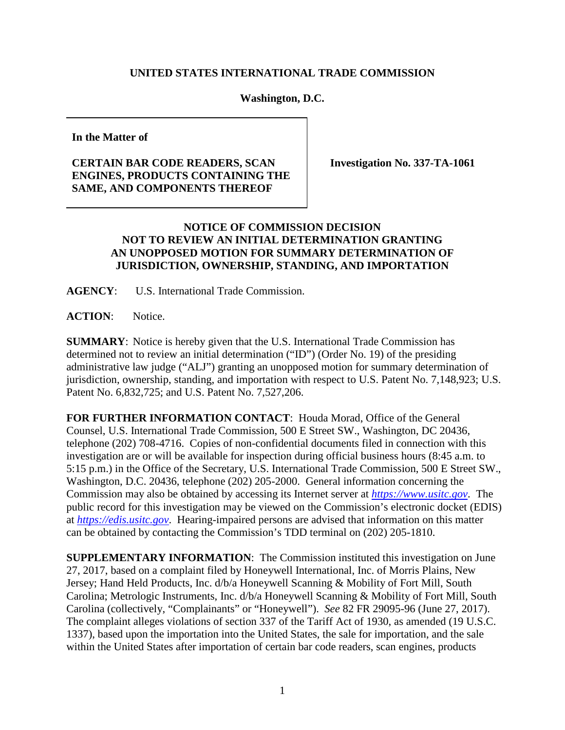## **UNITED STATES INTERNATIONAL TRADE COMMISSION**

## **Washington, D.C.**

**In the Matter of**

## **CERTAIN BAR CODE READERS, SCAN ENGINES, PRODUCTS CONTAINING THE SAME, AND COMPONENTS THEREOF**

**Investigation No. 337-TA-1061**

## **NOTICE OF COMMISSION DECISION NOT TO REVIEW AN INITIAL DETERMINATION GRANTING AN UNOPPOSED MOTION FOR SUMMARY DETERMINATION OF JURISDICTION, OWNERSHIP, STANDING, AND IMPORTATION**

**AGENCY**: U.S. International Trade Commission.

**ACTION**: Notice.

**SUMMARY**: Notice is hereby given that the U.S. International Trade Commission has determined not to review an initial determination ("ID") (Order No. 19) of the presiding administrative law judge ("ALJ") granting an unopposed motion for summary determination of jurisdiction, ownership, standing, and importation with respect to U.S. Patent No. 7,148,923; U.S. Patent No. 6,832,725; and U.S. Patent No. 7,527,206.

**FOR FURTHER INFORMATION CONTACT**: Houda Morad, Office of the General Counsel, U.S. International Trade Commission, 500 E Street SW., Washington, DC 20436, telephone (202) 708-4716. Copies of non-confidential documents filed in connection with this investigation are or will be available for inspection during official business hours (8:45 a.m. to 5:15 p.m.) in the Office of the Secretary, U.S. International Trade Commission, 500 E Street SW., Washington, D.C. 20436, telephone (202) 205-2000. General information concerning the Commission may also be obtained by accessing its Internet server at *[https://www.usitc.gov](https://www.usitc.gov/)*. The public record for this investigation may be viewed on the Commission's electronic docket (EDIS) at *[https://edis.usitc.gov](http://edis.usitc.gov/)*. Hearing-impaired persons are advised that information on this matter can be obtained by contacting the Commission's TDD terminal on (202) 205-1810.

**SUPPLEMENTARY INFORMATION**: The Commission instituted this investigation on June 27, 2017, based on a complaint filed by Honeywell International, Inc. of Morris Plains, New Jersey; Hand Held Products, Inc. d/b/a Honeywell Scanning & Mobility of Fort Mill, South Carolina; Metrologic Instruments, Inc. d/b/a Honeywell Scanning & Mobility of Fort Mill, South Carolina (collectively, "Complainants" or "Honeywell"). *See* 82 FR 29095-96 (June 27, 2017). The complaint alleges violations of section 337 of the Tariff Act of 1930, as amended (19 U.S.C. 1337), based upon the importation into the United States, the sale for importation, and the sale within the United States after importation of certain bar code readers, scan engines, products